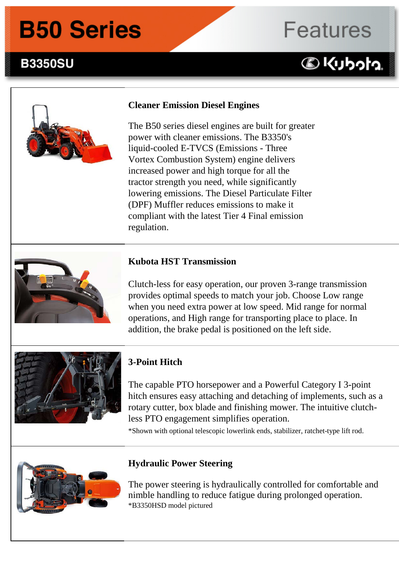# **B50 Series**

### **B3350SU B3350su Series Features:**

# **Features**

## **DKUbota**



#### **Cleaner Emission Diesel Engines**

The B50 series diesel engines are built for greater power with cleaner emissions. The B3350's liquid-cooled E-TVCS (Emissions - Three Vortex Combustion System) engine delivers increased power and high torque for all the tractor strength you need, while significantly lowering emissions. The Diesel Particulate Filter (DPF) Muffler reduces emissions to make it compliant with the latest Tier 4 Final emission regulation.



#### **Kubota HST Transmission**

Clutch-less for easy operation, our proven 3-range transmission provides optimal speeds to match your job. Choose Low range when you need extra power at low speed. Mid range for normal operations, and High range for transporting place to place. In addition, the brake pedal is positioned on the left side.



#### **3-Point Hitch**

The capable PTO horsepower and a Powerful Category I 3-point hitch ensures easy attaching and detaching of implements, such as a rotary cutter, box blade and finishing mower. The intuitive clutchless PTO engagement simplifies operation.

\*Shown with optional telescopic lowerlink ends, stabilizer, ratchet-type lift rod.



#### **Hydraulic Power Steering**

The power steering is hydraulically controlled for comfortable and nimble handling to reduce fatigue during prolonged operation. \*B3350HSD model pictured